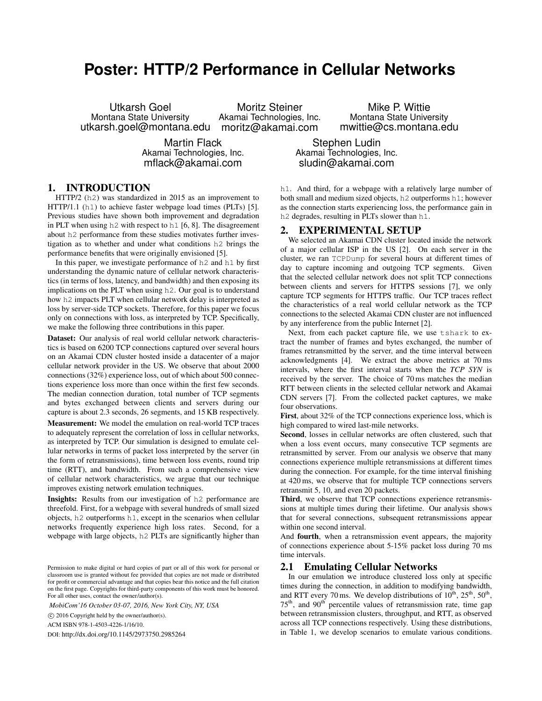# **Poster: HTTP/2 Performance in Cellular Networks**

Utkarsh Goel Montana State University utkarsh.goel@montana.edu Moritz Steiner Akamai Technologies, Inc. moritz@akamai.com

> Martin Flack Akamai Technologies, Inc. mflack@akamai.com

1. INTRODUCTION

HTTP/2 (h2) was standardized in 2015 as an improvement to HTTP/1.1 (h1) to achieve faster webpage load times (PLTs) [5]. Previous studies have shown both improvement and degradation in PLT when using h2 with respect to h1 [6, 8]. The disagreement about h2 performance from these studies motivates further investigation as to whether and under what conditions h2 brings the performance benefits that were originally envisioned [5].

In this paper, we investigate performance of h2 and h1 by first understanding the dynamic nature of cellular network characteristics (in terms of loss, latency, and bandwidth) and then exposing its implications on the PLT when using h2. Our goal is to understand how h2 impacts PLT when cellular network delay is interpreted as loss by server-side TCP sockets. Therefore, for this paper we focus only on connections with loss, as interpreted by TCP. Specifically, we make the following three contributions in this paper.

Dataset: Our analysis of real world cellular network characteristics is based on 6200 TCP connections captured over several hours on an Akamai CDN cluster hosted inside a datacenter of a major cellular network provider in the US. We observe that about 2000 connections (32%) experience loss, out of which about 500 connections experience loss more than once within the first few seconds. The median connection duration, total number of TCP segments and bytes exchanged between clients and servers during our capture is about 2.3 seconds, 26 segments, and 15 KB respectively.

Measurement: We model the emulation on real-world TCP traces to adequately represent the correlation of loss in cellular networks, as interpreted by TCP. Our simulation is designed to emulate cellular networks in terms of packet loss interpreted by the server (in the form of retransmissions), time between loss events, round trip time (RTT), and bandwidth. From such a comprehensive view of cellular network characteristics, we argue that our technique improves existing network emulation techniques.

Insights: Results from our investigation of h2 performance are threefold. First, for a webpage with several hundreds of small sized objects, h2 outperforms h1, except in the scenarios when cellular networks frequently experience high loss rates. Second, for a webpage with large objects, h2 PLTs are significantly higher than

*MobiCom'16 October 03-07, 2016, New York City, NY, USA*

c 2016 Copyright held by the owner/author(s).

ACM ISBN 978-1-4503-4226-1/16/10.

DOI: http://dx.doi.org/10.1145/2973750.2985264

Mike P. Wittie Montana State University mwittie@cs.montana.edu

Stephen Ludin Akamai Technologies, Inc. sludin@akamai.com

h1. And third, for a webpage with a relatively large number of both small and medium sized objects, h2 outperforms h1; however as the connection starts experiencing loss, the performance gain in h<sub>2</sub> degrades, resulting in PLTs slower than h<sub>1</sub>.

## 2. EXPERIMENTAL SETUP

We selected an Akamai CDN cluster located inside the network of a major cellular ISP in the US [2]. On each server in the cluster, we ran TCPDump for several hours at different times of day to capture incoming and outgoing TCP segments. Given that the selected cellular network does not split TCP connections between clients and servers for HTTPS sessions [7], we only capture TCP segments for HTTPS traffic. Our TCP traces reflect the characteristics of a real world cellular network as the TCP connections to the selected Akamai CDN cluster are not influenced by any interference from the public Internet [2].

Next, from each packet capture file, we use tshark to extract the number of frames and bytes exchanged, the number of frames retransmitted by the server, and the time interval between acknowledgments [4]. We extract the above metrics at 70 ms intervals, where the first interval starts when the *TCP SYN* is received by the server. The choice of 70 ms matches the median RTT between clients in the selected cellular network and Akamai CDN servers [7]. From the collected packet captures, we make four observations.

First, about 32% of the TCP connections experience loss, which is high compared to wired last-mile networks.

Second, losses in cellular networks are often clustered, such that when a loss event occurs, many consecutive TCP segments are retransmitted by server. From our analysis we observe that many connections experience multiple retransmissions at different times during the connection. For example, for the time interval finishing at 420 ms, we observe that for multiple TCP connections servers retransmit 5, 10, and even 20 packets.

Third, we observe that TCP connections experience retransmissions at multiple times during their lifetime. Our analysis shows that for several connections, subsequent retransmissions appear within one second interval.

And fourth, when a retransmission event appears, the majority of connections experience about 5-15% packet loss during 70 ms time intervals.

### 2.1 Emulating Cellular Networks

In our emulation we introduce clustered loss only at specific times during the connection, in addition to modifying bandwidth, and RTT every 70 ms. We develop distributions of  $10^{th}$ ,  $25^{th}$ ,  $50^{th}$ ,  $75<sup>th</sup>$ , and  $90<sup>th</sup>$  percentile values of retransmission rate, time gap between retransmission clusters, throughput, and RTT, as observed across all TCP connections respectively. Using these distributions, in Table 1, we develop scenarios to emulate various conditions.

Permission to make digital or hard copies of part or all of this work for personal or classroom use is granted without fee provided that copies are not made or distributed for profit or commercial advantage and that copies bear this notice and the full citation on the first page. Copyrights for third-party components of this work must be honored. For all other uses, contact the owner/author(s).